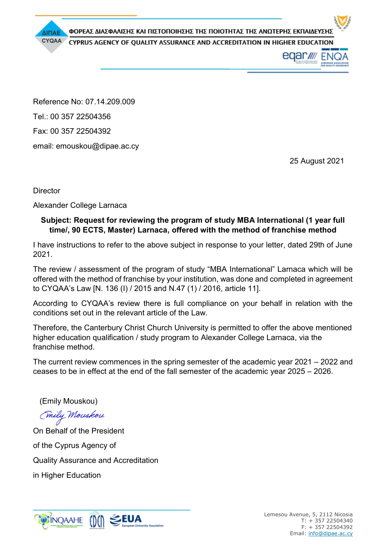ΦΟΡΕΑΣ ΔΙΑΣΦΑΛΙΣΗΣ ΚΑΙ ΠΙΣΤΟΠΟΙΗΣΗΣ ΤΗΣ ΠΟΙΟΤΗΤΑΣ ΤΗΣ ΑΝΩΤΕΡΗΣ ΕΚΠΑΙΔΕΥΣΗΣ

CYPRUS AGENCY OF QUALITY ASSURANCE AND ACCREDITATION IN HIGHER EDUCATION

eqar*w* EN

Reference No: 07.14.209.009 Tel.: 00 357 22504356 Fax: 00 357 22504392 email: emouskou@dipae.ac.cy

25 August 2021

**Director** 

ΔΙΠΑΕ CYQAA

Alexander College Larnaca

## **Subject: Request for reviewing the program of study MBA International (1 year full time/, 90 ECTS, Master) Larnaca, offered with the method of franchise method**

I have instructions to refer to the above subject in response to your letter, dated 29th of June 2021.

The review / assessment of the program of study "MBA International" Larnaca which will be offered with the method of franchise by your institution, was done and completed in agreement to CYQAA's Law [N. 136 (I) / 2015 and N.47 (1) / 2016, article 11].

According to CYQAA's review there is full compliance on your behalf in relation with the conditions set out in the relevant article of the Law.

Therefore, the Canterbury Christ Church University is permitted to offer the above mentioned higher education qualification / study program to Alexander College Larnaca, via the franchise method.

The current review commences in the spring semester of the academic year  $2021 - 2022$  and ceases to be in effect at the end of the fall semester of the academic year  $2025 - 2026$ .

(Emily Mouskou)

(mily Mouskou

On Behalf of the President of the Cyprus Agency of Quality Assurance and Accreditation in Higher Education